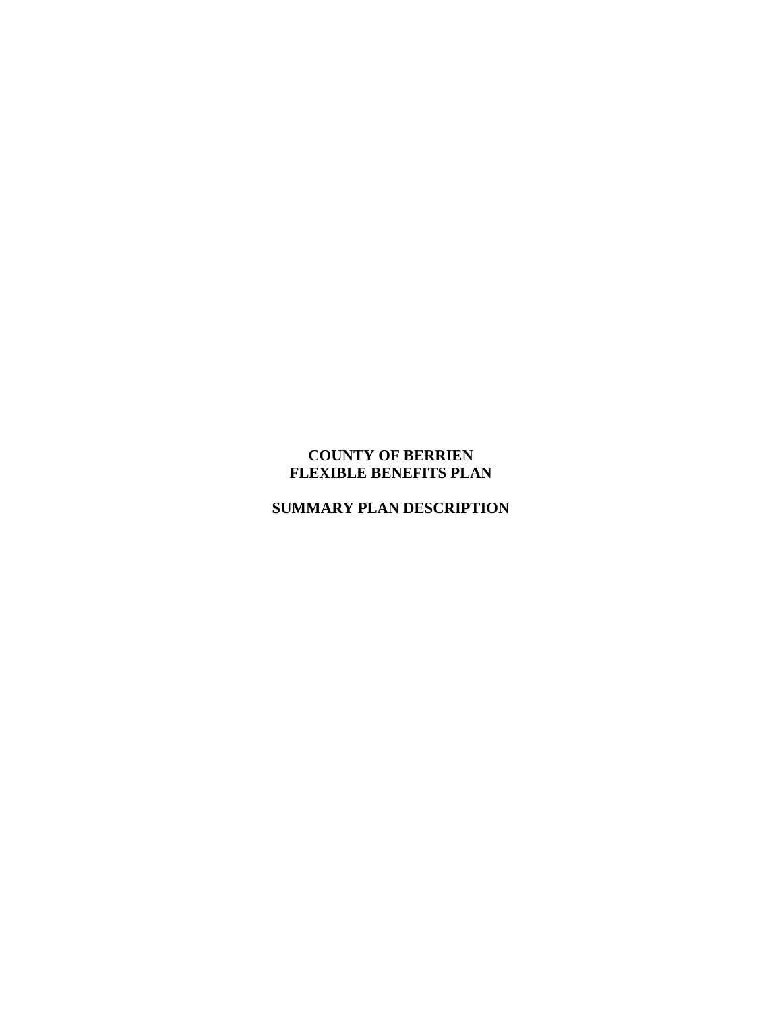# **COUNTY OF BERRIEN FLEXIBLE BENEFITS PLAN**

# **SUMMARY PLAN DESCRIPTION**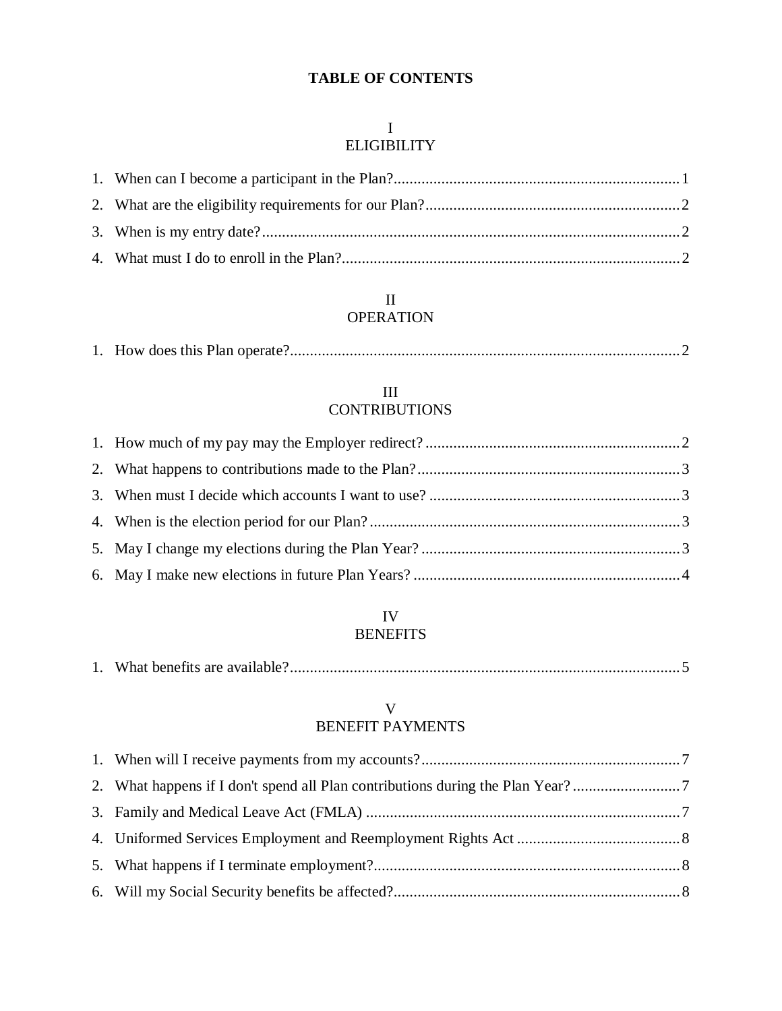# **TABLE OF CONTENTS**

# I

# ELIGIBILITY

### II OPERATION

### III **CONTRIBUTIONS**

# IV BENEFITS

|--|--|--|

# V BENEFIT PAYMENTS

| 2. What happens if I don't spend all Plan contributions during the Plan Year? |  |
|-------------------------------------------------------------------------------|--|
|                                                                               |  |
|                                                                               |  |
|                                                                               |  |
|                                                                               |  |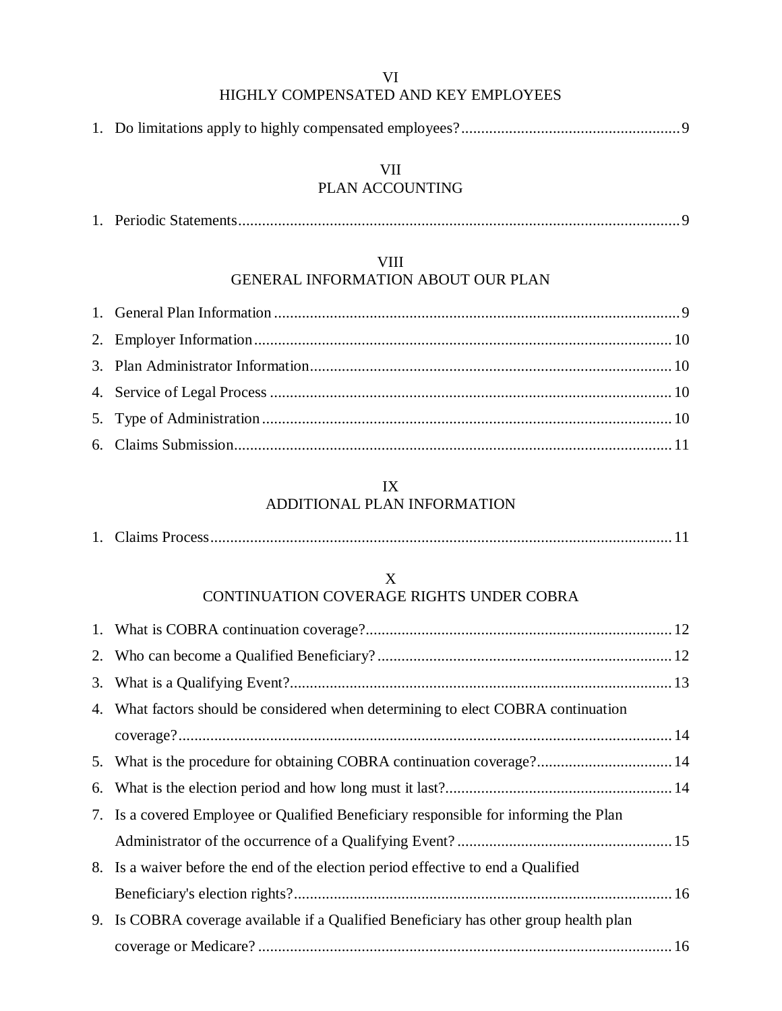VI

# HIGHLY COMPENSATED AND KEY EMPLOYEES

|--|--|--|--|--|

# VII

# PLAN ACCOUNTING

|--|--|--|--|

#### VIII

# GENERAL INFORMATION ABOUT OUR PLAN

### IX ADDITIONAL PLAN INFORMATION

|--|--|--|--|

### X CONTINUATION COVERAGE RIGHTS UNDER COBRA

| 4. What factors should be considered when determining to elect COBRA continuation     |  |
|---------------------------------------------------------------------------------------|--|
|                                                                                       |  |
| 5. What is the procedure for obtaining COBRA continuation coverage? 14                |  |
|                                                                                       |  |
| 7. Is a covered Employee or Qualified Beneficiary responsible for informing the Plan  |  |
|                                                                                       |  |
| 8. Is a waiver before the end of the election period effective to end a Qualified     |  |
|                                                                                       |  |
| 9. Is COBRA coverage available if a Qualified Beneficiary has other group health plan |  |
|                                                                                       |  |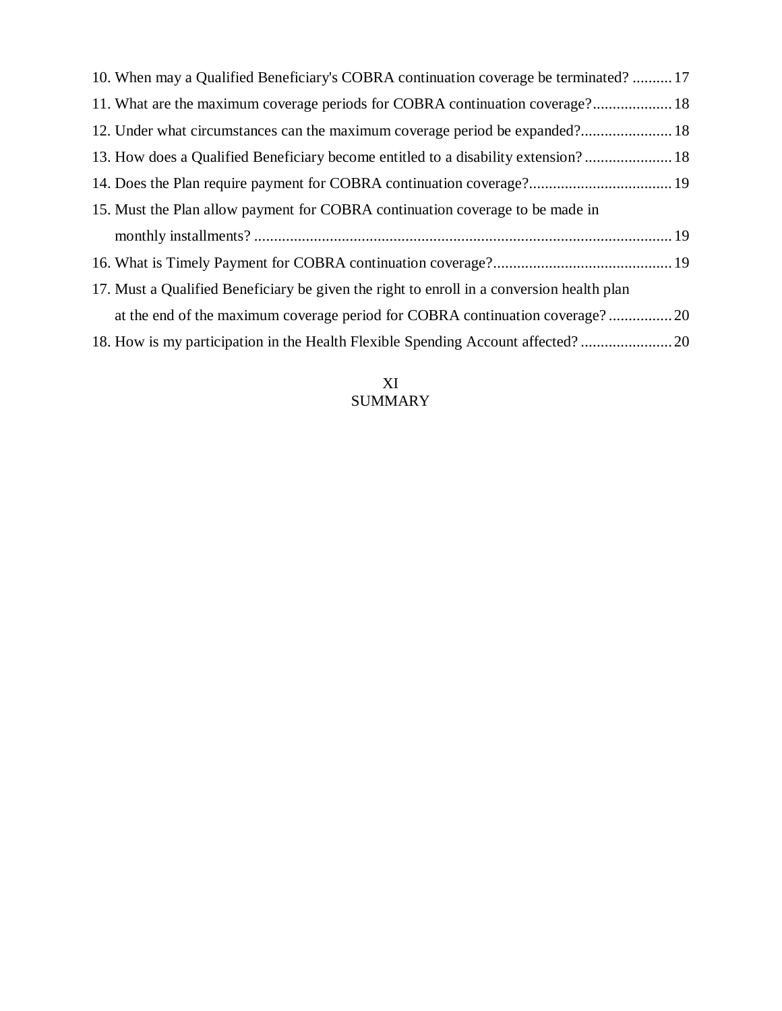| 10. When may a Qualified Beneficiary's COBRA continuation coverage be terminated?  17     |  |
|-------------------------------------------------------------------------------------------|--|
| 11. What are the maximum coverage periods for COBRA continuation coverage? 18             |  |
| 12. Under what circumstances can the maximum coverage period be expanded? 18              |  |
| 13. How does a Qualified Beneficiary become entitled to a disability extension? 18        |  |
|                                                                                           |  |
| 15. Must the Plan allow payment for COBRA continuation coverage to be made in             |  |
|                                                                                           |  |
|                                                                                           |  |
| 17. Must a Qualified Beneficiary be given the right to enroll in a conversion health plan |  |
|                                                                                           |  |
| 18. How is my participation in the Health Flexible Spending Account affected?             |  |

# XI SUMMARY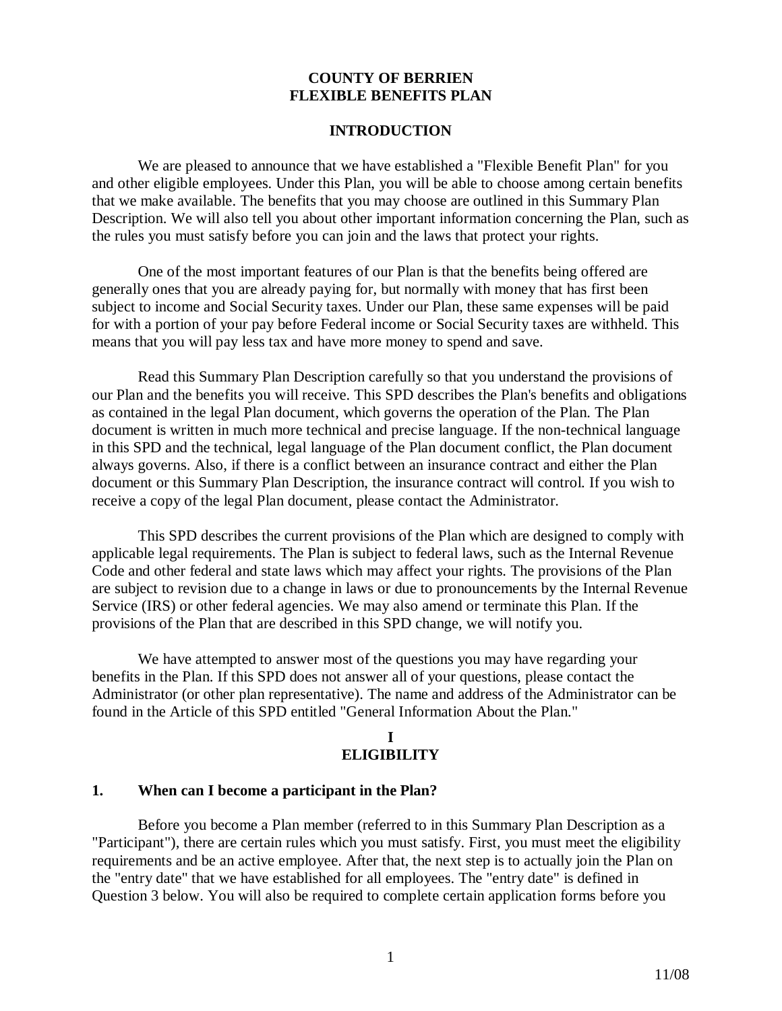#### **COUNTY OF BERRIEN FLEXIBLE BENEFITS PLAN**

#### **INTRODUCTION**

We are pleased to announce that we have established a "Flexible Benefit Plan" for you and other eligible employees. Under this Plan, you will be able to choose among certain benefits that we make available. The benefits that you may choose are outlined in this Summary Plan Description. We will also tell you about other important information concerning the Plan, such as the rules you must satisfy before you can join and the laws that protect your rights.

One of the most important features of our Plan is that the benefits being offered are generally ones that you are already paying for, but normally with money that has first been subject to income and Social Security taxes. Under our Plan, these same expenses will be paid for with a portion of your pay before Federal income or Social Security taxes are withheld. This means that you will pay less tax and have more money to spend and save.

Read this Summary Plan Description carefully so that you understand the provisions of our Plan and the benefits you will receive. This SPD describes the Plan's benefits and obligations as contained in the legal Plan document, which governs the operation of the Plan. The Plan document is written in much more technical and precise language. If the non-technical language in this SPD and the technical, legal language of the Plan document conflict, the Plan document always governs. Also, if there is a conflict between an insurance contract and either the Plan document or this Summary Plan Description, the insurance contract will control. If you wish to receive a copy of the legal Plan document, please contact the Administrator.

This SPD describes the current provisions of the Plan which are designed to comply with applicable legal requirements. The Plan is subject to federal laws, such as the Internal Revenue Code and other federal and state laws which may affect your rights. The provisions of the Plan are subject to revision due to a change in laws or due to pronouncements by the Internal Revenue Service (IRS) or other federal agencies. We may also amend or terminate this Plan. If the provisions of the Plan that are described in this SPD change, we will notify you.

We have attempted to answer most of the questions you may have regarding your benefits in the Plan. If this SPD does not answer all of your questions, please contact the Administrator (or other plan representative). The name and address of the Administrator can be found in the Article of this SPD entitled "General Information About the Plan."

### **I ELIGIBILITY**

#### **1. When can I become a participant in the Plan?**

Before you become a Plan member (referred to in this Summary Plan Description as a "Participant"), there are certain rules which you must satisfy. First, you must meet the eligibility requirements and be an active employee. After that, the next step is to actually join the Plan on the "entry date" that we have established for all employees. The "entry date" is defined in Question 3 below. You will also be required to complete certain application forms before you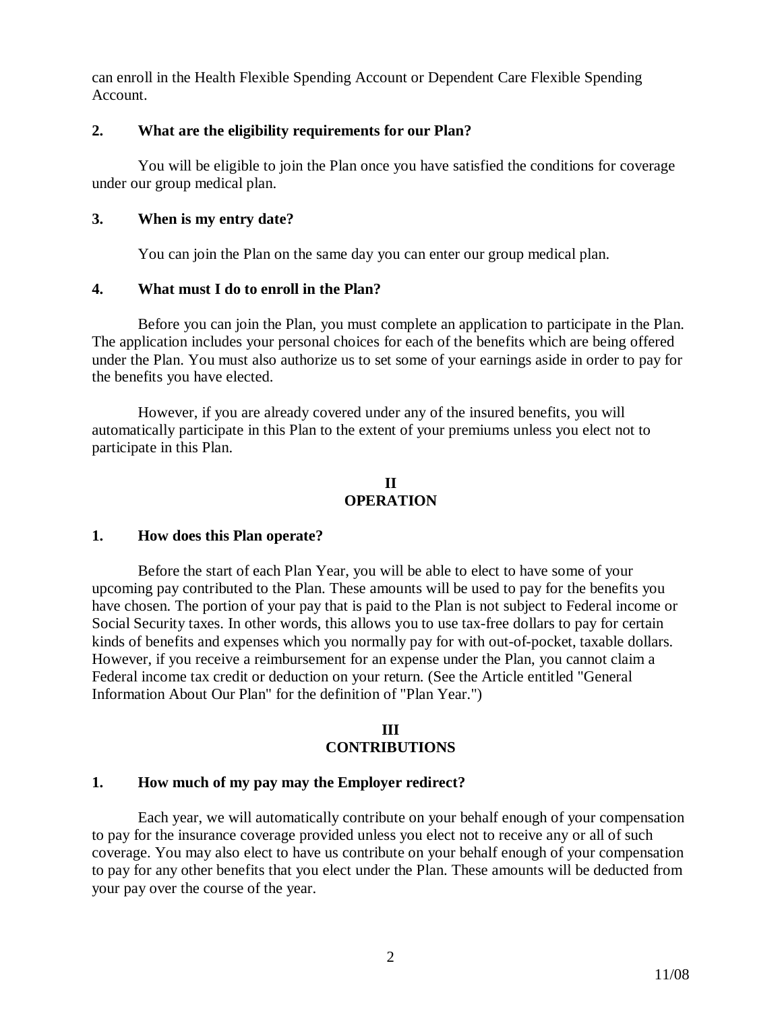can enroll in the Health Flexible Spending Account or Dependent Care Flexible Spending Account.

### **2. What are the eligibility requirements for our Plan?**

You will be eligible to join the Plan once you have satisfied the conditions for coverage under our group medical plan.

### **3. When is my entry date?**

You can join the Plan on the same day you can enter our group medical plan.

### **4. What must I do to enroll in the Plan?**

Before you can join the Plan, you must complete an application to participate in the Plan. The application includes your personal choices for each of the benefits which are being offered under the Plan. You must also authorize us to set some of your earnings aside in order to pay for the benefits you have elected.

However, if you are already covered under any of the insured benefits, you will automatically participate in this Plan to the extent of your premiums unless you elect not to participate in this Plan.

### **II OPERATION**

### **1. How does this Plan operate?**

Before the start of each Plan Year, you will be able to elect to have some of your upcoming pay contributed to the Plan. These amounts will be used to pay for the benefits you have chosen. The portion of your pay that is paid to the Plan is not subject to Federal income or Social Security taxes. In other words, this allows you to use tax-free dollars to pay for certain kinds of benefits and expenses which you normally pay for with out-of-pocket, taxable dollars. However, if you receive a reimbursement for an expense under the Plan, you cannot claim a Federal income tax credit or deduction on your return. (See the Article entitled "General Information About Our Plan" for the definition of "Plan Year.")

#### **III CONTRIBUTIONS**

### **1. How much of my pay may the Employer redirect?**

Each year, we will automatically contribute on your behalf enough of your compensation to pay for the insurance coverage provided unless you elect not to receive any or all of such coverage. You may also elect to have us contribute on your behalf enough of your compensation to pay for any other benefits that you elect under the Plan. These amounts will be deducted from your pay over the course of the year.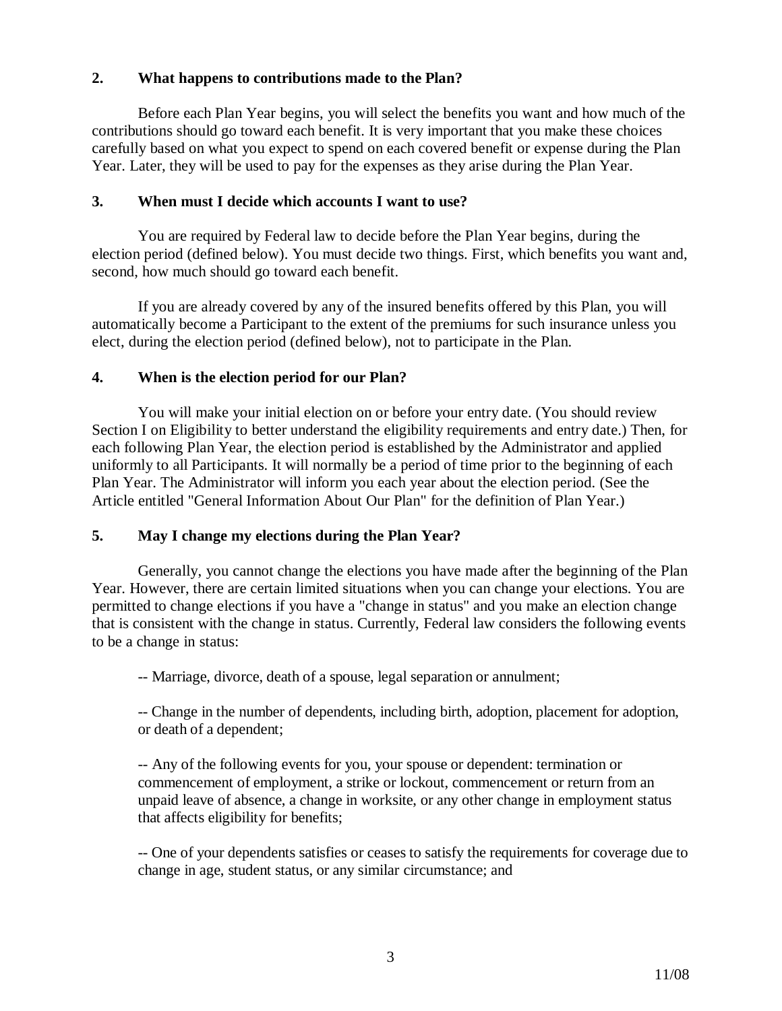## **2. What happens to contributions made to the Plan?**

Before each Plan Year begins, you will select the benefits you want and how much of the contributions should go toward each benefit. It is very important that you make these choices carefully based on what you expect to spend on each covered benefit or expense during the Plan Year. Later, they will be used to pay for the expenses as they arise during the Plan Year.

### **3. When must I decide which accounts I want to use?**

You are required by Federal law to decide before the Plan Year begins, during the election period (defined below). You must decide two things. First, which benefits you want and, second, how much should go toward each benefit.

If you are already covered by any of the insured benefits offered by this Plan, you will automatically become a Participant to the extent of the premiums for such insurance unless you elect, during the election period (defined below), not to participate in the Plan.

### **4. When is the election period for our Plan?**

You will make your initial election on or before your entry date. (You should review Section I on Eligibility to better understand the eligibility requirements and entry date.) Then, for each following Plan Year, the election period is established by the Administrator and applied uniformly to all Participants. It will normally be a period of time prior to the beginning of each Plan Year. The Administrator will inform you each year about the election period. (See the Article entitled "General Information About Our Plan" for the definition of Plan Year.)

# **5. May I change my elections during the Plan Year?**

Generally, you cannot change the elections you have made after the beginning of the Plan Year. However, there are certain limited situations when you can change your elections. You are permitted to change elections if you have a "change in status" and you make an election change that is consistent with the change in status. Currently, Federal law considers the following events to be a change in status:

-- Marriage, divorce, death of a spouse, legal separation or annulment;

-- Change in the number of dependents, including birth, adoption, placement for adoption, or death of a dependent;

-- Any of the following events for you, your spouse or dependent: termination or commencement of employment, a strike or lockout, commencement or return from an unpaid leave of absence, a change in worksite, or any other change in employment status that affects eligibility for benefits;

-- One of your dependents satisfies or ceases to satisfy the requirements for coverage due to change in age, student status, or any similar circumstance; and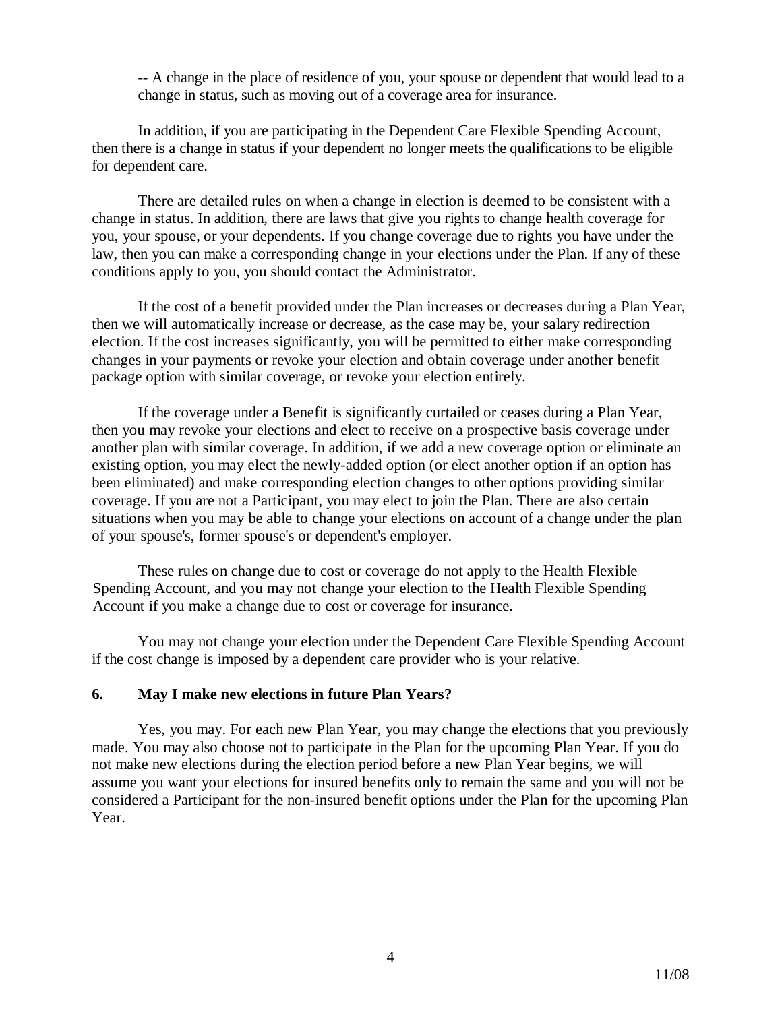-- A change in the place of residence of you, your spouse or dependent that would lead to a change in status, such as moving out of a coverage area for insurance.

In addition, if you are participating in the Dependent Care Flexible Spending Account, then there is a change in status if your dependent no longer meets the qualifications to be eligible for dependent care.

There are detailed rules on when a change in election is deemed to be consistent with a change in status. In addition, there are laws that give you rights to change health coverage for you, your spouse, or your dependents. If you change coverage due to rights you have under the law, then you can make a corresponding change in your elections under the Plan. If any of these conditions apply to you, you should contact the Administrator.

If the cost of a benefit provided under the Plan increases or decreases during a Plan Year, then we will automatically increase or decrease, as the case may be, your salary redirection election. If the cost increases significantly, you will be permitted to either make corresponding changes in your payments or revoke your election and obtain coverage under another benefit package option with similar coverage, or revoke your election entirely.

If the coverage under a Benefit is significantly curtailed or ceases during a Plan Year, then you may revoke your elections and elect to receive on a prospective basis coverage under another plan with similar coverage. In addition, if we add a new coverage option or eliminate an existing option, you may elect the newly-added option (or elect another option if an option has been eliminated) and make corresponding election changes to other options providing similar coverage. If you are not a Participant, you may elect to join the Plan. There are also certain situations when you may be able to change your elections on account of a change under the plan of your spouse's, former spouse's or dependent's employer.

These rules on change due to cost or coverage do not apply to the Health Flexible Spending Account, and you may not change your election to the Health Flexible Spending Account if you make a change due to cost or coverage for insurance.

You may not change your election under the Dependent Care Flexible Spending Account if the cost change is imposed by a dependent care provider who is your relative.

#### **6. May I make new elections in future Plan Years?**

Yes, you may. For each new Plan Year, you may change the elections that you previously made. You may also choose not to participate in the Plan for the upcoming Plan Year. If you do not make new elections during the election period before a new Plan Year begins, we will assume you want your elections for insured benefits only to remain the same and you will not be considered a Participant for the non-insured benefit options under the Plan for the upcoming Plan Year.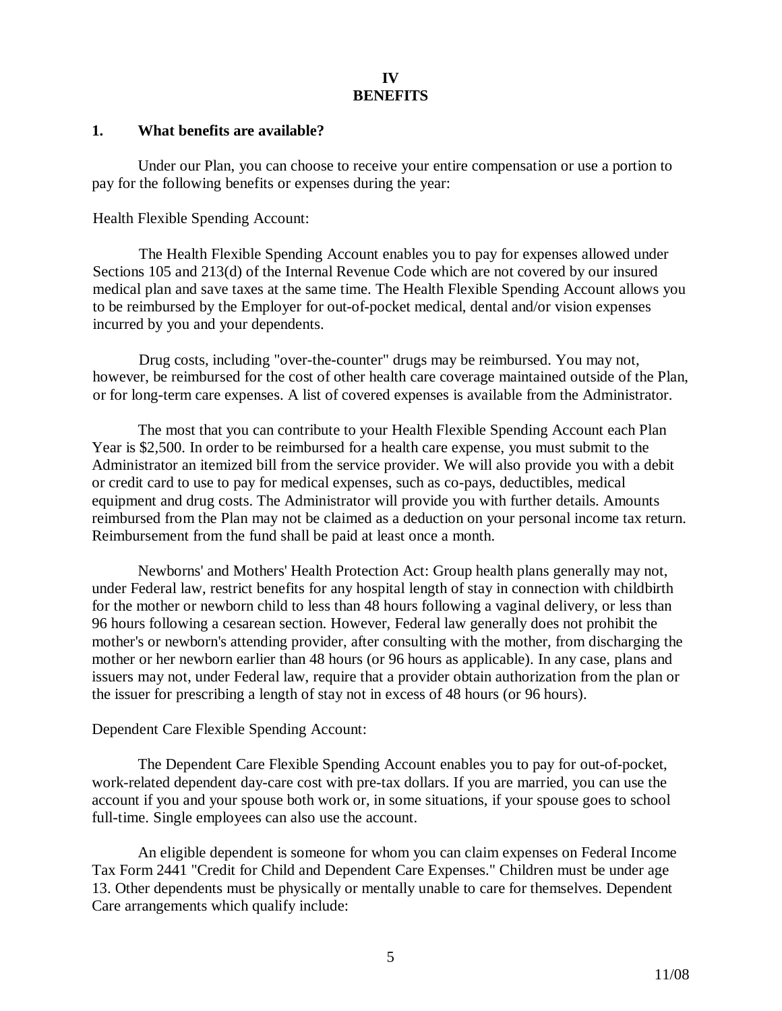### **IV BENEFITS**

#### **1. What benefits are available?**

Under our Plan, you can choose to receive your entire compensation or use a portion to pay for the following benefits or expenses during the year:

Health Flexible Spending Account:

The Health Flexible Spending Account enables you to pay for expenses allowed under Sections 105 and 213(d) of the Internal Revenue Code which are not covered by our insured medical plan and save taxes at the same time. The Health Flexible Spending Account allows you to be reimbursed by the Employer for out-of-pocket medical, dental and/or vision expenses incurred by you and your dependents.

Drug costs, including "over-the-counter" drugs may be reimbursed. You may not, however, be reimbursed for the cost of other health care coverage maintained outside of the Plan, or for long-term care expenses. A list of covered expenses is available from the Administrator.

The most that you can contribute to your Health Flexible Spending Account each Plan Year is \$2,500. In order to be reimbursed for a health care expense, you must submit to the Administrator an itemized bill from the service provider. We will also provide you with a debit or credit card to use to pay for medical expenses, such as co-pays, deductibles, medical equipment and drug costs. The Administrator will provide you with further details. Amounts reimbursed from the Plan may not be claimed as a deduction on your personal income tax return. Reimbursement from the fund shall be paid at least once a month.

Newborns' and Mothers' Health Protection Act: Group health plans generally may not, under Federal law, restrict benefits for any hospital length of stay in connection with childbirth for the mother or newborn child to less than 48 hours following a vaginal delivery, or less than 96 hours following a cesarean section. However, Federal law generally does not prohibit the mother's or newborn's attending provider, after consulting with the mother, from discharging the mother or her newborn earlier than 48 hours (or 96 hours as applicable). In any case, plans and issuers may not, under Federal law, require that a provider obtain authorization from the plan or the issuer for prescribing a length of stay not in excess of 48 hours (or 96 hours).

#### Dependent Care Flexible Spending Account:

The Dependent Care Flexible Spending Account enables you to pay for out-of-pocket, work-related dependent day-care cost with pre-tax dollars. If you are married, you can use the account if you and your spouse both work or, in some situations, if your spouse goes to school full-time. Single employees can also use the account.

An eligible dependent is someone for whom you can claim expenses on Federal Income Tax Form 2441 "Credit for Child and Dependent Care Expenses." Children must be under age 13. Other dependents must be physically or mentally unable to care for themselves. Dependent Care arrangements which qualify include: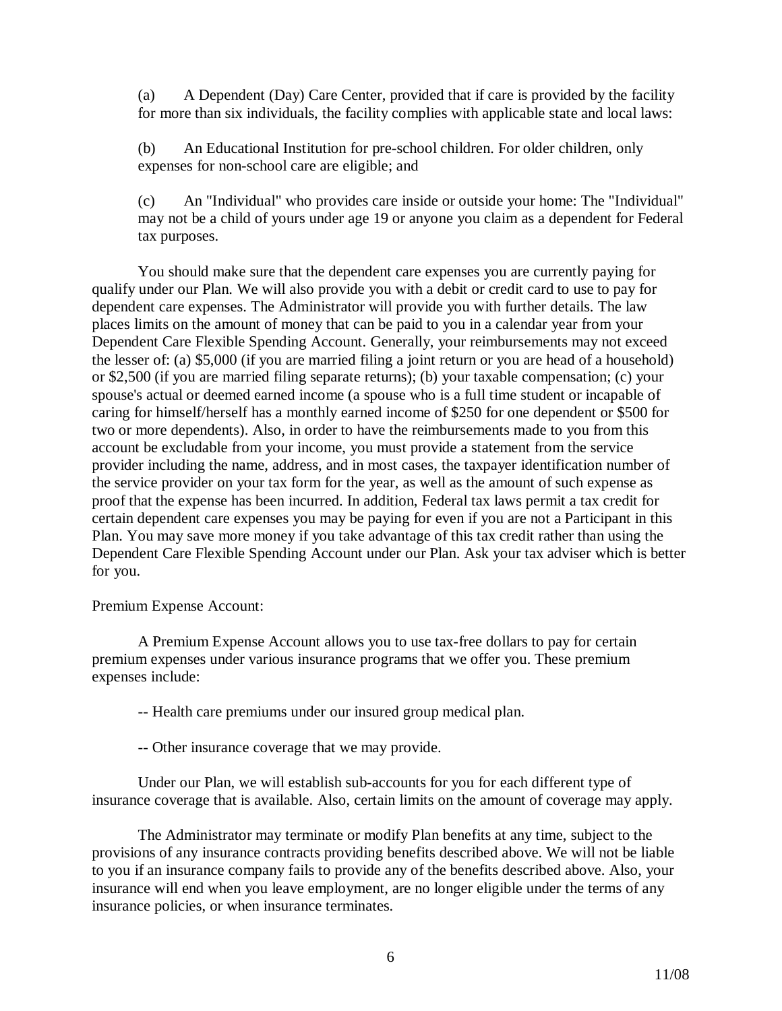(a) A Dependent (Day) Care Center, provided that if care is provided by the facility for more than six individuals, the facility complies with applicable state and local laws:

(b) An Educational Institution for pre-school children. For older children, only expenses for non-school care are eligible; and

(c) An "Individual" who provides care inside or outside your home: The "Individual" may not be a child of yours under age 19 or anyone you claim as a dependent for Federal tax purposes.

You should make sure that the dependent care expenses you are currently paying for qualify under our Plan. We will also provide you with a debit or credit card to use to pay for dependent care expenses. The Administrator will provide you with further details. The law places limits on the amount of money that can be paid to you in a calendar year from your Dependent Care Flexible Spending Account. Generally, your reimbursements may not exceed the lesser of: (a) \$5,000 (if you are married filing a joint return or you are head of a household) or \$2,500 (if you are married filing separate returns); (b) your taxable compensation; (c) your spouse's actual or deemed earned income (a spouse who is a full time student or incapable of caring for himself/herself has a monthly earned income of \$250 for one dependent or \$500 for two or more dependents). Also, in order to have the reimbursements made to you from this account be excludable from your income, you must provide a statement from the service provider including the name, address, and in most cases, the taxpayer identification number of the service provider on your tax form for the year, as well as the amount of such expense as proof that the expense has been incurred. In addition, Federal tax laws permit a tax credit for certain dependent care expenses you may be paying for even if you are not a Participant in this Plan. You may save more money if you take advantage of this tax credit rather than using the Dependent Care Flexible Spending Account under our Plan. Ask your tax adviser which is better for you.

#### Premium Expense Account:

A Premium Expense Account allows you to use tax-free dollars to pay for certain premium expenses under various insurance programs that we offer you. These premium expenses include:

-- Health care premiums under our insured group medical plan.

-- Other insurance coverage that we may provide.

Under our Plan, we will establish sub-accounts for you for each different type of insurance coverage that is available. Also, certain limits on the amount of coverage may apply.

The Administrator may terminate or modify Plan benefits at any time, subject to the provisions of any insurance contracts providing benefits described above. We will not be liable to you if an insurance company fails to provide any of the benefits described above. Also, your insurance will end when you leave employment, are no longer eligible under the terms of any insurance policies, or when insurance terminates.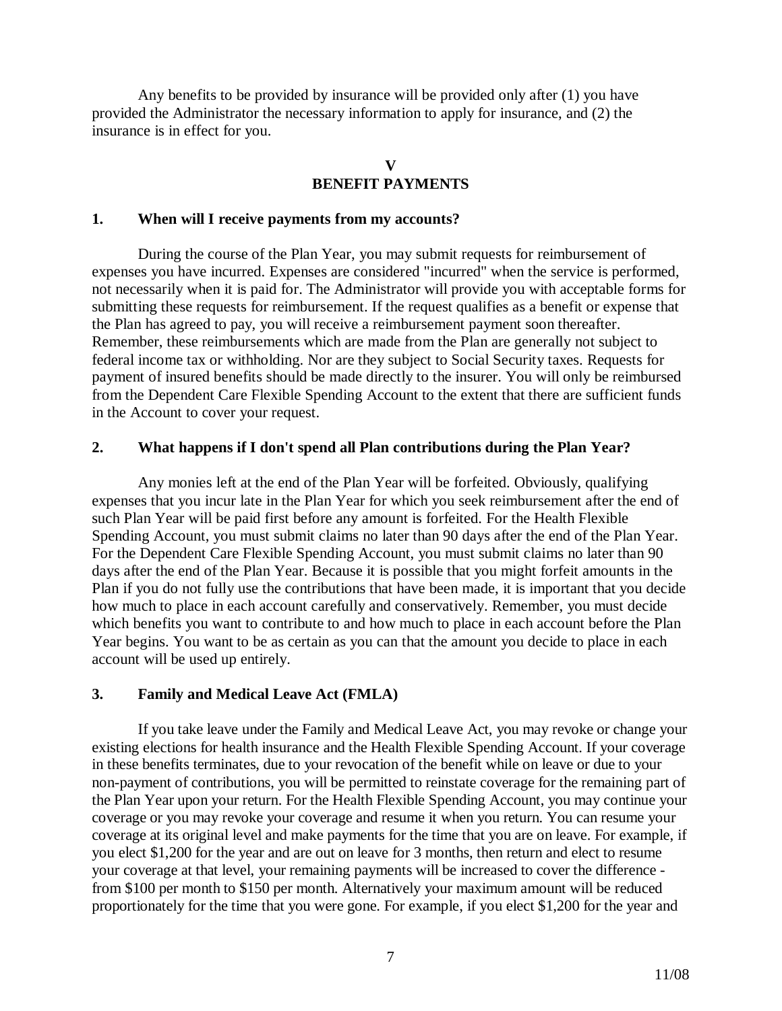Any benefits to be provided by insurance will be provided only after (1) you have provided the Administrator the necessary information to apply for insurance, and (2) the insurance is in effect for you.

# **V BENEFIT PAYMENTS**

#### **1. When will I receive payments from my accounts?**

During the course of the Plan Year, you may submit requests for reimbursement of expenses you have incurred. Expenses are considered "incurred" when the service is performed, not necessarily when it is paid for. The Administrator will provide you with acceptable forms for submitting these requests for reimbursement. If the request qualifies as a benefit or expense that the Plan has agreed to pay, you will receive a reimbursement payment soon thereafter. Remember, these reimbursements which are made from the Plan are generally not subject to federal income tax or withholding. Nor are they subject to Social Security taxes. Requests for payment of insured benefits should be made directly to the insurer. You will only be reimbursed from the Dependent Care Flexible Spending Account to the extent that there are sufficient funds in the Account to cover your request.

#### **2. What happens if I don't spend all Plan contributions during the Plan Year?**

Any monies left at the end of the Plan Year will be forfeited. Obviously, qualifying expenses that you incur late in the Plan Year for which you seek reimbursement after the end of such Plan Year will be paid first before any amount is forfeited. For the Health Flexible Spending Account, you must submit claims no later than 90 days after the end of the Plan Year. For the Dependent Care Flexible Spending Account, you must submit claims no later than 90 days after the end of the Plan Year. Because it is possible that you might forfeit amounts in the Plan if you do not fully use the contributions that have been made, it is important that you decide how much to place in each account carefully and conservatively. Remember, you must decide which benefits you want to contribute to and how much to place in each account before the Plan Year begins. You want to be as certain as you can that the amount you decide to place in each account will be used up entirely.

### **3. Family and Medical Leave Act (FMLA)**

If you take leave under the Family and Medical Leave Act, you may revoke or change your existing elections for health insurance and the Health Flexible Spending Account. If your coverage in these benefits terminates, due to your revocation of the benefit while on leave or due to your non-payment of contributions, you will be permitted to reinstate coverage for the remaining part of the Plan Year upon your return. For the Health Flexible Spending Account, you may continue your coverage or you may revoke your coverage and resume it when you return. You can resume your coverage at its original level and make payments for the time that you are on leave. For example, if you elect \$1,200 for the year and are out on leave for 3 months, then return and elect to resume your coverage at that level, your remaining payments will be increased to cover the difference from \$100 per month to \$150 per month. Alternatively your maximum amount will be reduced proportionately for the time that you were gone. For example, if you elect \$1,200 for the year and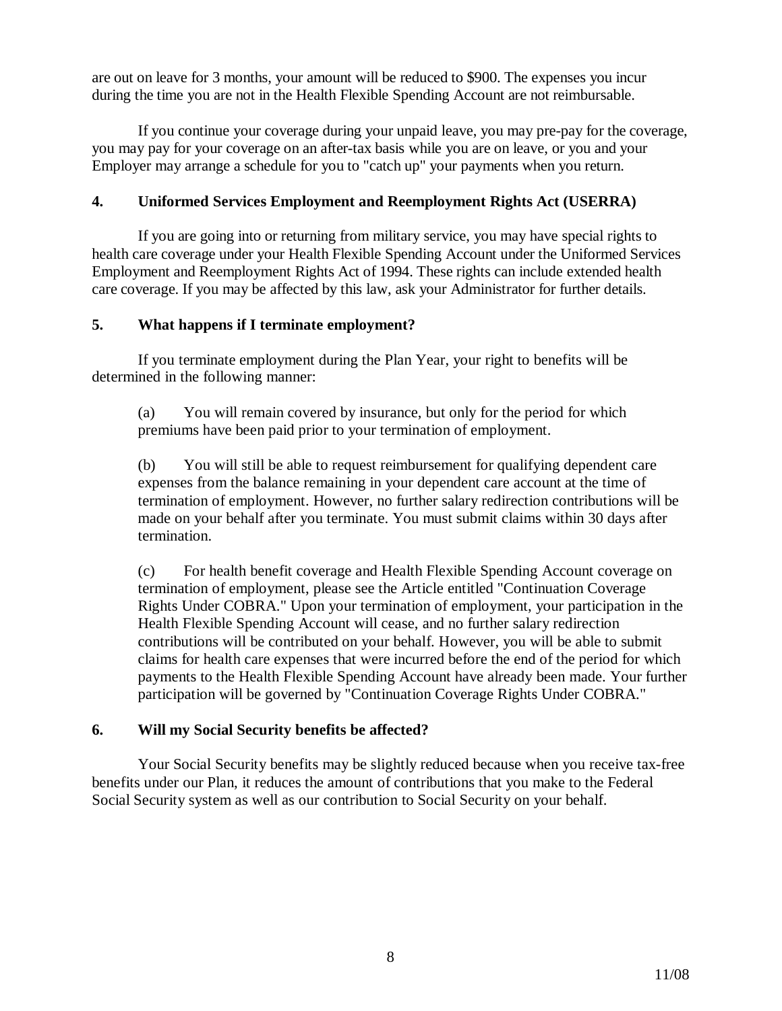are out on leave for 3 months, your amount will be reduced to \$900. The expenses you incur during the time you are not in the Health Flexible Spending Account are not reimbursable.

If you continue your coverage during your unpaid leave, you may pre-pay for the coverage, you may pay for your coverage on an after-tax basis while you are on leave, or you and your Employer may arrange a schedule for you to "catch up" your payments when you return.

## **4. Uniformed Services Employment and Reemployment Rights Act (USERRA)**

If you are going into or returning from military service, you may have special rights to health care coverage under your Health Flexible Spending Account under the Uniformed Services Employment and Reemployment Rights Act of 1994. These rights can include extended health care coverage. If you may be affected by this law, ask your Administrator for further details.

### **5. What happens if I terminate employment?**

If you terminate employment during the Plan Year, your right to benefits will be determined in the following manner:

(a) You will remain covered by insurance, but only for the period for which premiums have been paid prior to your termination of employment.

(b) You will still be able to request reimbursement for qualifying dependent care expenses from the balance remaining in your dependent care account at the time of termination of employment. However, no further salary redirection contributions will be made on your behalf after you terminate. You must submit claims within 30 days after termination.

(c) For health benefit coverage and Health Flexible Spending Account coverage on termination of employment, please see the Article entitled "Continuation Coverage Rights Under COBRA." Upon your termination of employment, your participation in the Health Flexible Spending Account will cease, and no further salary redirection contributions will be contributed on your behalf. However, you will be able to submit claims for health care expenses that were incurred before the end of the period for which payments to the Health Flexible Spending Account have already been made. Your further participation will be governed by "Continuation Coverage Rights Under COBRA."

### **6. Will my Social Security benefits be affected?**

Your Social Security benefits may be slightly reduced because when you receive tax-free benefits under our Plan, it reduces the amount of contributions that you make to the Federal Social Security system as well as our contribution to Social Security on your behalf.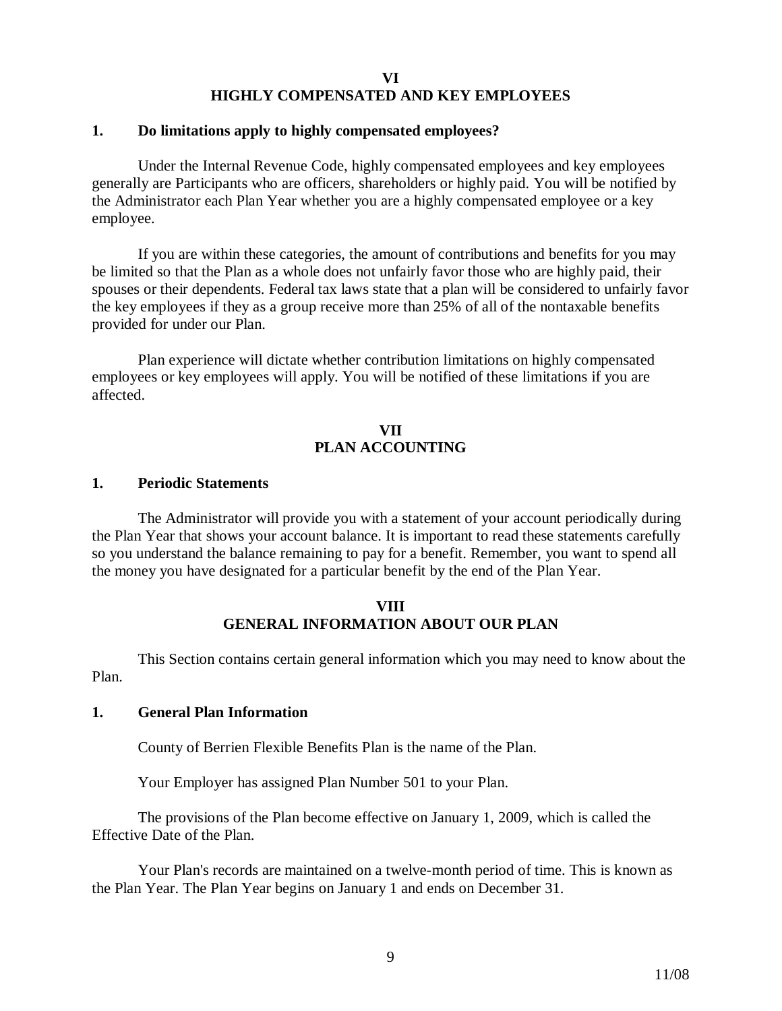#### **VI HIGHLY COMPENSATED AND KEY EMPLOYEES**

#### **1. Do limitations apply to highly compensated employees?**

Under the Internal Revenue Code, highly compensated employees and key employees generally are Participants who are officers, shareholders or highly paid. You will be notified by the Administrator each Plan Year whether you are a highly compensated employee or a key employee.

If you are within these categories, the amount of contributions and benefits for you may be limited so that the Plan as a whole does not unfairly favor those who are highly paid, their spouses or their dependents. Federal tax laws state that a plan will be considered to unfairly favor the key employees if they as a group receive more than 25% of all of the nontaxable benefits provided for under our Plan.

Plan experience will dictate whether contribution limitations on highly compensated employees or key employees will apply. You will be notified of these limitations if you are affected.

#### **VII PLAN ACCOUNTING**

#### **1. Periodic Statements**

The Administrator will provide you with a statement of your account periodically during the Plan Year that shows your account balance. It is important to read these statements carefully so you understand the balance remaining to pay for a benefit. Remember, you want to spend all the money you have designated for a particular benefit by the end of the Plan Year.

### **VIII GENERAL INFORMATION ABOUT OUR PLAN**

This Section contains certain general information which you may need to know about the Plan.

#### **1. General Plan Information**

County of Berrien Flexible Benefits Plan is the name of the Plan.

Your Employer has assigned Plan Number 501 to your Plan.

The provisions of the Plan become effective on January 1, 2009, which is called the Effective Date of the Plan.

Your Plan's records are maintained on a twelve-month period of time. This is known as the Plan Year. The Plan Year begins on January 1 and ends on December 31.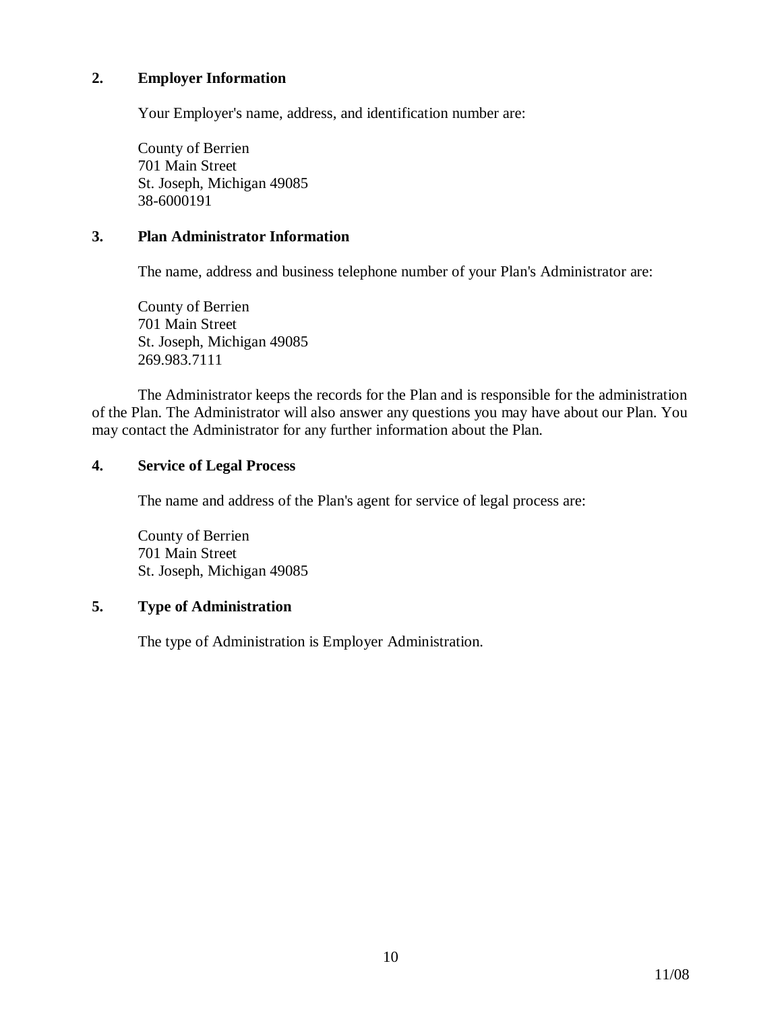### **2. Employer Information**

Your Employer's name, address, and identification number are:

County of Berrien 701 Main Street St. Joseph, Michigan 49085 38-6000191

### **3. Plan Administrator Information**

The name, address and business telephone number of your Plan's Administrator are:

County of Berrien 701 Main Street St. Joseph, Michigan 49085 269.983.7111

The Administrator keeps the records for the Plan and is responsible for the administration of the Plan. The Administrator will also answer any questions you may have about our Plan. You may contact the Administrator for any further information about the Plan.

#### **4. Service of Legal Process**

The name and address of the Plan's agent for service of legal process are:

County of Berrien 701 Main Street St. Joseph, Michigan 49085

# **5. Type of Administration**

The type of Administration is Employer Administration.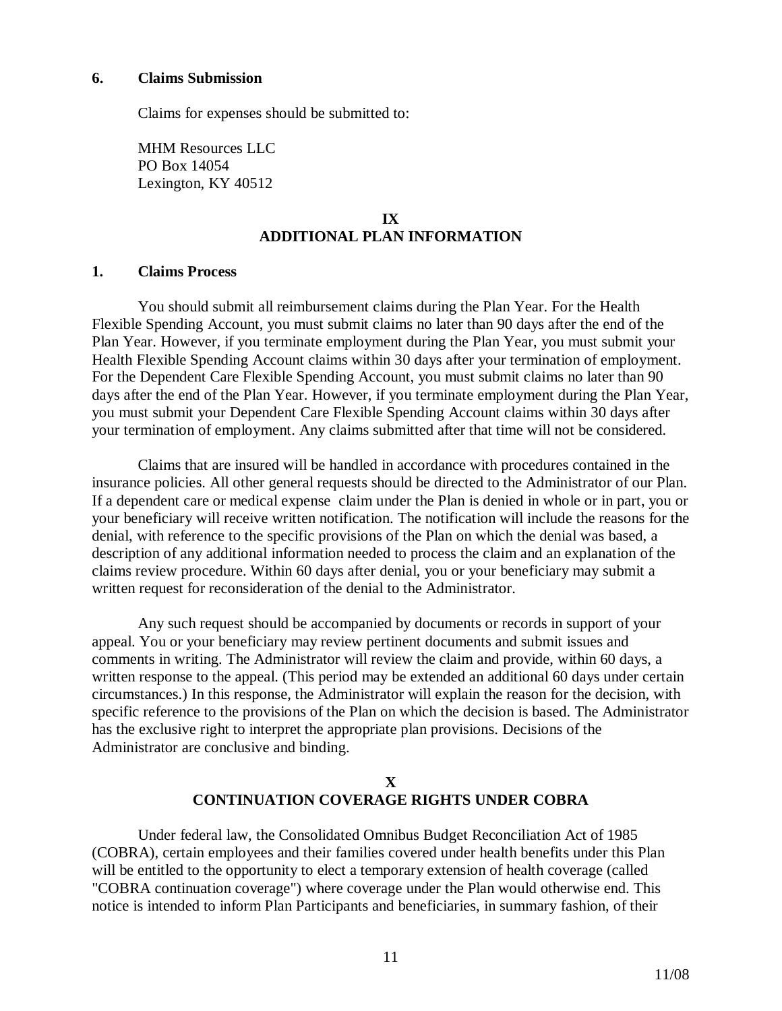**6. Claims Submission** 

Claims for expenses should be submitted to:

MHM Resources LLC PO Box 14054 Lexington, KY 40512

## **IX ADDITIONAL PLAN INFORMATION**

#### **1. Claims Process**

You should submit all reimbursement claims during the Plan Year. For the Health Flexible Spending Account, you must submit claims no later than 90 days after the end of the Plan Year. However, if you terminate employment during the Plan Year, you must submit your Health Flexible Spending Account claims within 30 days after your termination of employment. For the Dependent Care Flexible Spending Account, you must submit claims no later than 90 days after the end of the Plan Year. However, if you terminate employment during the Plan Year, you must submit your Dependent Care Flexible Spending Account claims within 30 days after your termination of employment. Any claims submitted after that time will not be considered.

Claims that are insured will be handled in accordance with procedures contained in the insurance policies. All other general requests should be directed to the Administrator of our Plan. If a dependent care or medical expense claim under the Plan is denied in whole or in part, you or your beneficiary will receive written notification. The notification will include the reasons for the denial, with reference to the specific provisions of the Plan on which the denial was based, a description of any additional information needed to process the claim and an explanation of the claims review procedure. Within 60 days after denial, you or your beneficiary may submit a written request for reconsideration of the denial to the Administrator.

Any such request should be accompanied by documents or records in support of your appeal. You or your beneficiary may review pertinent documents and submit issues and comments in writing. The Administrator will review the claim and provide, within 60 days, a written response to the appeal. (This period may be extended an additional 60 days under certain circumstances.) In this response, the Administrator will explain the reason for the decision, with specific reference to the provisions of the Plan on which the decision is based. The Administrator has the exclusive right to interpret the appropriate plan provisions. Decisions of the Administrator are conclusive and binding.

# **X CONTINUATION COVERAGE RIGHTS UNDER COBRA**

Under federal law, the Consolidated Omnibus Budget Reconciliation Act of 1985 (COBRA), certain employees and their families covered under health benefits under this Plan will be entitled to the opportunity to elect a temporary extension of health coverage (called "COBRA continuation coverage") where coverage under the Plan would otherwise end. This notice is intended to inform Plan Participants and beneficiaries, in summary fashion, of their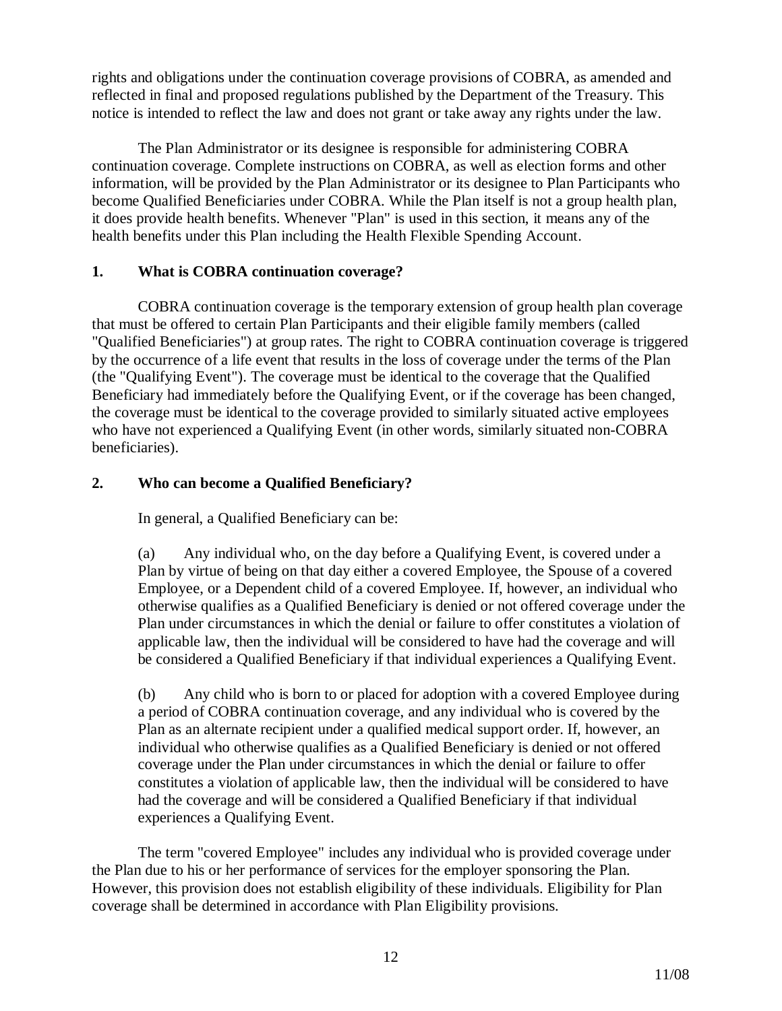rights and obligations under the continuation coverage provisions of COBRA, as amended and reflected in final and proposed regulations published by the Department of the Treasury. This notice is intended to reflect the law and does not grant or take away any rights under the law.

The Plan Administrator or its designee is responsible for administering COBRA continuation coverage. Complete instructions on COBRA, as well as election forms and other information, will be provided by the Plan Administrator or its designee to Plan Participants who become Qualified Beneficiaries under COBRA. While the Plan itself is not a group health plan, it does provide health benefits. Whenever "Plan" is used in this section, it means any of the health benefits under this Plan including the Health Flexible Spending Account.

### **1. What is COBRA continuation coverage?**

COBRA continuation coverage is the temporary extension of group health plan coverage that must be offered to certain Plan Participants and their eligible family members (called "Qualified Beneficiaries") at group rates. The right to COBRA continuation coverage is triggered by the occurrence of a life event that results in the loss of coverage under the terms of the Plan (the "Qualifying Event"). The coverage must be identical to the coverage that the Qualified Beneficiary had immediately before the Qualifying Event, or if the coverage has been changed, the coverage must be identical to the coverage provided to similarly situated active employees who have not experienced a Qualifying Event (in other words, similarly situated non-COBRA beneficiaries).

# **2. Who can become a Qualified Beneficiary?**

In general, a Qualified Beneficiary can be:

(a) Any individual who, on the day before a Qualifying Event, is covered under a Plan by virtue of being on that day either a covered Employee, the Spouse of a covered Employee, or a Dependent child of a covered Employee. If, however, an individual who otherwise qualifies as a Qualified Beneficiary is denied or not offered coverage under the Plan under circumstances in which the denial or failure to offer constitutes a violation of applicable law, then the individual will be considered to have had the coverage and will be considered a Qualified Beneficiary if that individual experiences a Qualifying Event.

(b) Any child who is born to or placed for adoption with a covered Employee during a period of COBRA continuation coverage, and any individual who is covered by the Plan as an alternate recipient under a qualified medical support order. If, however, an individual who otherwise qualifies as a Qualified Beneficiary is denied or not offered coverage under the Plan under circumstances in which the denial or failure to offer constitutes a violation of applicable law, then the individual will be considered to have had the coverage and will be considered a Qualified Beneficiary if that individual experiences a Qualifying Event.

The term "covered Employee" includes any individual who is provided coverage under the Plan due to his or her performance of services for the employer sponsoring the Plan. However, this provision does not establish eligibility of these individuals. Eligibility for Plan coverage shall be determined in accordance with Plan Eligibility provisions.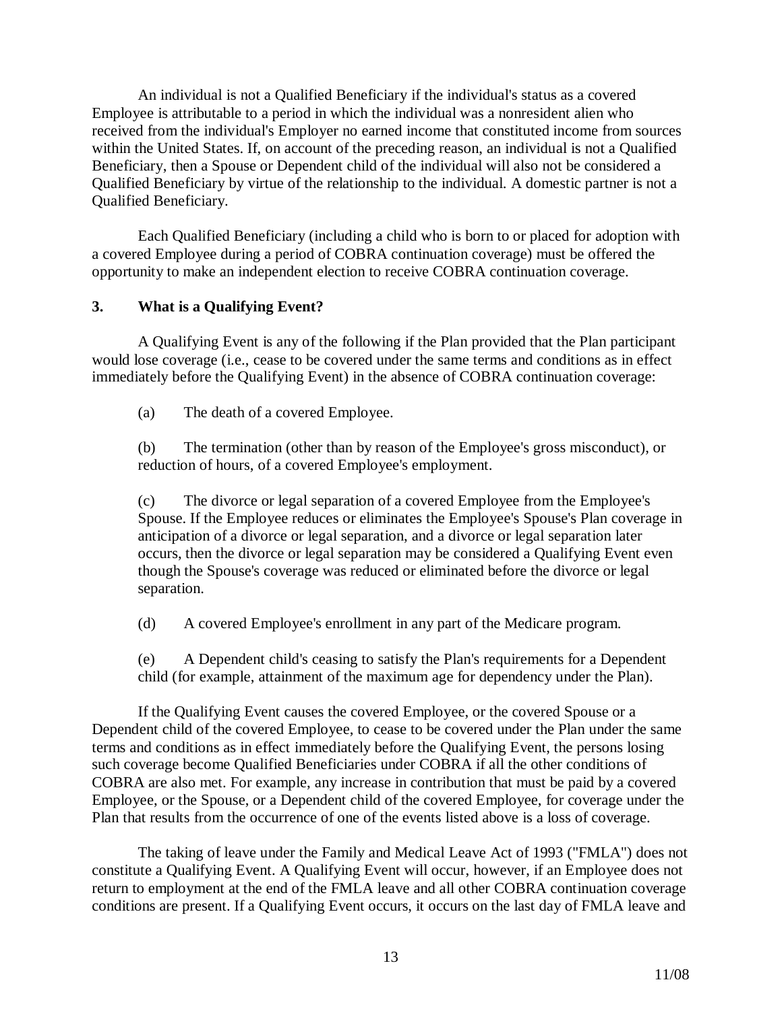An individual is not a Qualified Beneficiary if the individual's status as a covered Employee is attributable to a period in which the individual was a nonresident alien who received from the individual's Employer no earned income that constituted income from sources within the United States. If, on account of the preceding reason, an individual is not a Qualified Beneficiary, then a Spouse or Dependent child of the individual will also not be considered a Qualified Beneficiary by virtue of the relationship to the individual. A domestic partner is not a Qualified Beneficiary.

Each Qualified Beneficiary (including a child who is born to or placed for adoption with a covered Employee during a period of COBRA continuation coverage) must be offered the opportunity to make an independent election to receive COBRA continuation coverage.

#### **3. What is a Qualifying Event?**

A Qualifying Event is any of the following if the Plan provided that the Plan participant would lose coverage (i.e., cease to be covered under the same terms and conditions as in effect immediately before the Qualifying Event) in the absence of COBRA continuation coverage:

(a) The death of a covered Employee.

(b) The termination (other than by reason of the Employee's gross misconduct), or reduction of hours, of a covered Employee's employment.

(c) The divorce or legal separation of a covered Employee from the Employee's Spouse. If the Employee reduces or eliminates the Employee's Spouse's Plan coverage in anticipation of a divorce or legal separation, and a divorce or legal separation later occurs, then the divorce or legal separation may be considered a Qualifying Event even though the Spouse's coverage was reduced or eliminated before the divorce or legal separation.

(d) A covered Employee's enrollment in any part of the Medicare program.

(e) A Dependent child's ceasing to satisfy the Plan's requirements for a Dependent child (for example, attainment of the maximum age for dependency under the Plan).

If the Qualifying Event causes the covered Employee, or the covered Spouse or a Dependent child of the covered Employee, to cease to be covered under the Plan under the same terms and conditions as in effect immediately before the Qualifying Event, the persons losing such coverage become Qualified Beneficiaries under COBRA if all the other conditions of COBRA are also met. For example, any increase in contribution that must be paid by a covered Employee, or the Spouse, or a Dependent child of the covered Employee, for coverage under the Plan that results from the occurrence of one of the events listed above is a loss of coverage.

The taking of leave under the Family and Medical Leave Act of 1993 ("FMLA") does not constitute a Qualifying Event. A Qualifying Event will occur, however, if an Employee does not return to employment at the end of the FMLA leave and all other COBRA continuation coverage conditions are present. If a Qualifying Event occurs, it occurs on the last day of FMLA leave and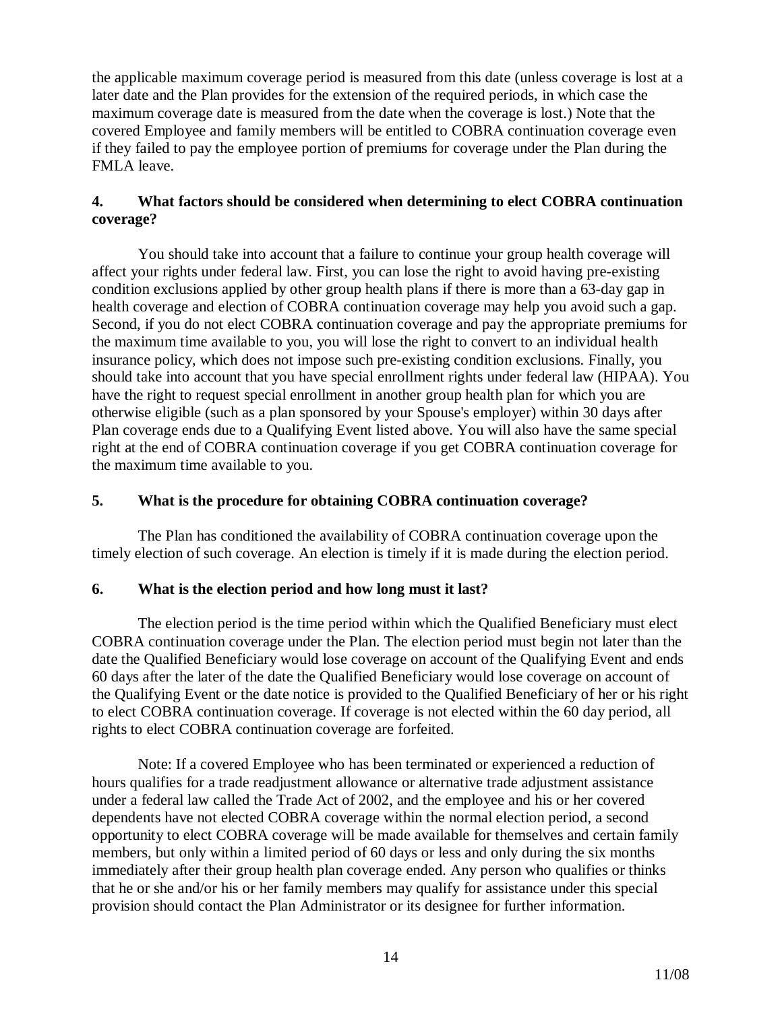the applicable maximum coverage period is measured from this date (unless coverage is lost at a later date and the Plan provides for the extension of the required periods, in which case the maximum coverage date is measured from the date when the coverage is lost.) Note that the covered Employee and family members will be entitled to COBRA continuation coverage even if they failed to pay the employee portion of premiums for coverage under the Plan during the FMLA leave.

## **4. What factors should be considered when determining to elect COBRA continuation coverage?**

You should take into account that a failure to continue your group health coverage will affect your rights under federal law. First, you can lose the right to avoid having pre-existing condition exclusions applied by other group health plans if there is more than a 63-day gap in health coverage and election of COBRA continuation coverage may help you avoid such a gap. Second, if you do not elect COBRA continuation coverage and pay the appropriate premiums for the maximum time available to you, you will lose the right to convert to an individual health insurance policy, which does not impose such pre-existing condition exclusions. Finally, you should take into account that you have special enrollment rights under federal law (HIPAA). You have the right to request special enrollment in another group health plan for which you are otherwise eligible (such as a plan sponsored by your Spouse's employer) within 30 days after Plan coverage ends due to a Qualifying Event listed above. You will also have the same special right at the end of COBRA continuation coverage if you get COBRA continuation coverage for the maximum time available to you.

### **5. What is the procedure for obtaining COBRA continuation coverage?**

The Plan has conditioned the availability of COBRA continuation coverage upon the timely election of such coverage. An election is timely if it is made during the election period.

### **6. What is the election period and how long must it last?**

The election period is the time period within which the Qualified Beneficiary must elect COBRA continuation coverage under the Plan. The election period must begin not later than the date the Qualified Beneficiary would lose coverage on account of the Qualifying Event and ends 60 days after the later of the date the Qualified Beneficiary would lose coverage on account of the Qualifying Event or the date notice is provided to the Qualified Beneficiary of her or his right to elect COBRA continuation coverage. If coverage is not elected within the 60 day period, all rights to elect COBRA continuation coverage are forfeited.

Note: If a covered Employee who has been terminated or experienced a reduction of hours qualifies for a trade readjustment allowance or alternative trade adjustment assistance under a federal law called the Trade Act of 2002, and the employee and his or her covered dependents have not elected COBRA coverage within the normal election period, a second opportunity to elect COBRA coverage will be made available for themselves and certain family members, but only within a limited period of 60 days or less and only during the six months immediately after their group health plan coverage ended. Any person who qualifies or thinks that he or she and/or his or her family members may qualify for assistance under this special provision should contact the Plan Administrator or its designee for further information.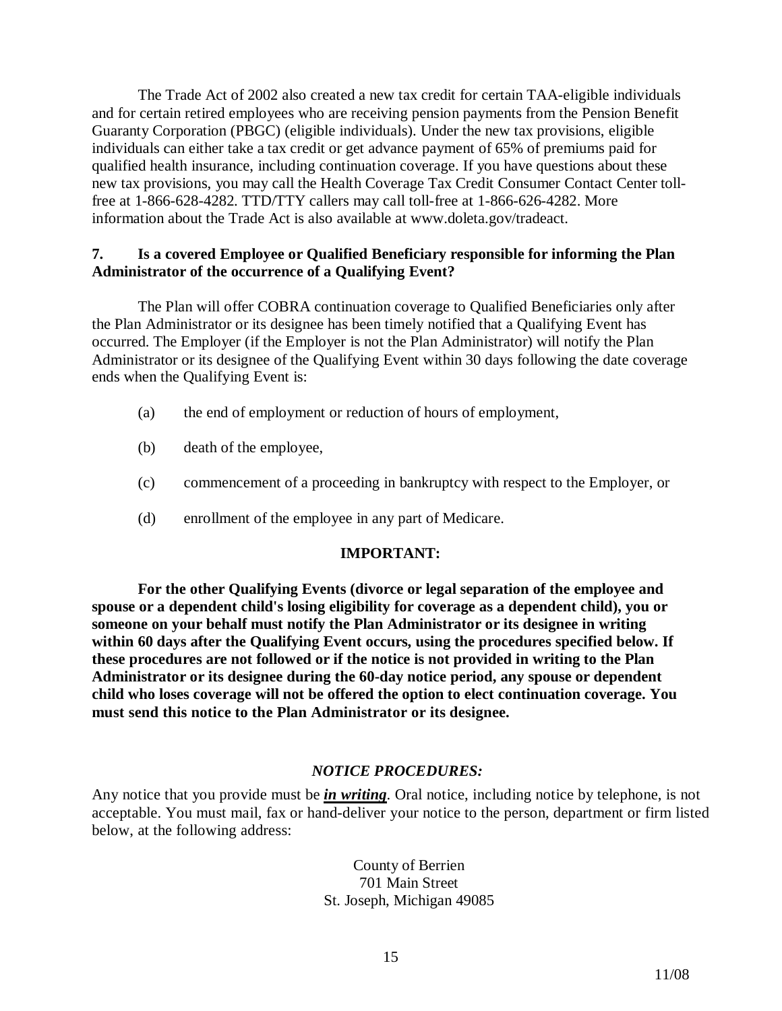The Trade Act of 2002 also created a new tax credit for certain TAA-eligible individuals and for certain retired employees who are receiving pension payments from the Pension Benefit Guaranty Corporation (PBGC) (eligible individuals). Under the new tax provisions, eligible individuals can either take a tax credit or get advance payment of 65% of premiums paid for qualified health insurance, including continuation coverage. If you have questions about these new tax provisions, you may call the Health Coverage Tax Credit Consumer Contact Center tollfree at 1-866-628-4282. TTD/TTY callers may call toll-free at 1-866-626-4282. More information about the Trade Act is also available at www.doleta.gov/tradeact.

### **7. Is a covered Employee or Qualified Beneficiary responsible for informing the Plan Administrator of the occurrence of a Qualifying Event?**

The Plan will offer COBRA continuation coverage to Qualified Beneficiaries only after the Plan Administrator or its designee has been timely notified that a Qualifying Event has occurred. The Employer (if the Employer is not the Plan Administrator) will notify the Plan Administrator or its designee of the Qualifying Event within 30 days following the date coverage ends when the Qualifying Event is:

- (a) the end of employment or reduction of hours of employment,
- (b) death of the employee,
- (c) commencement of a proceeding in bankruptcy with respect to the Employer, or
- (d) enrollment of the employee in any part of Medicare.

#### **IMPORTANT:**

**For the other Qualifying Events (divorce or legal separation of the employee and spouse or a dependent child's losing eligibility for coverage as a dependent child), you or someone on your behalf must notify the Plan Administrator or its designee in writing within 60 days after the Qualifying Event occurs, using the procedures specified below. If these procedures are not followed or if the notice is not provided in writing to the Plan Administrator or its designee during the 60-day notice period, any spouse or dependent child who loses coverage will not be offered the option to elect continuation coverage. You must send this notice to the Plan Administrator or its designee.** 

### *NOTICE PROCEDURES:*

Any notice that you provide must be *in writing*. Oral notice, including notice by telephone, is not acceptable. You must mail, fax or hand-deliver your notice to the person, department or firm listed below, at the following address:

> County of Berrien 701 Main Street St. Joseph, Michigan 49085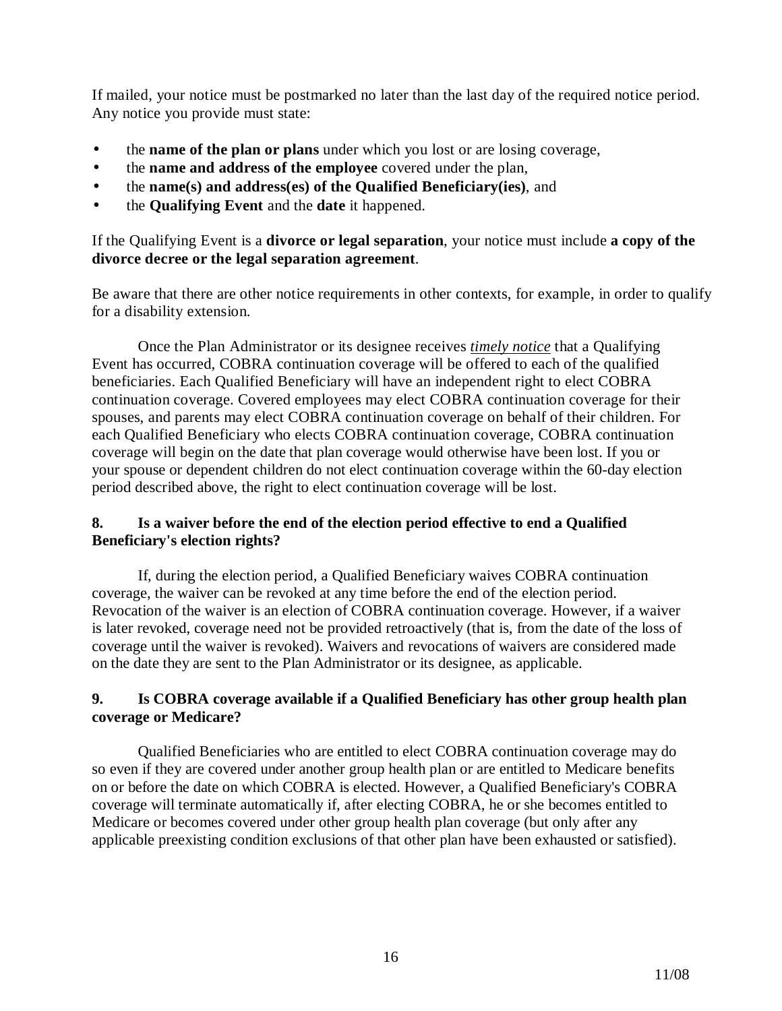If mailed, your notice must be postmarked no later than the last day of the required notice period. Any notice you provide must state:

- the **name of the plan or plans** under which you lost or are losing coverage,
- the **name and address of the employee** covered under the plan,
- the **name(s) and address(es) of the Qualified Beneficiary(ies)**, and
- the **Qualifying Event** and the **date** it happened.

### If the Qualifying Event is a **divorce or legal separation**, your notice must include **a copy of the divorce decree or the legal separation agreement**.

Be aware that there are other notice requirements in other contexts, for example, in order to qualify for a disability extension.

Once the Plan Administrator or its designee receives *timely notice* that a Qualifying Event has occurred, COBRA continuation coverage will be offered to each of the qualified beneficiaries. Each Qualified Beneficiary will have an independent right to elect COBRA continuation coverage. Covered employees may elect COBRA continuation coverage for their spouses, and parents may elect COBRA continuation coverage on behalf of their children. For each Qualified Beneficiary who elects COBRA continuation coverage, COBRA continuation coverage will begin on the date that plan coverage would otherwise have been lost. If you or your spouse or dependent children do not elect continuation coverage within the 60-day election period described above, the right to elect continuation coverage will be lost.

# **8. Is a waiver before the end of the election period effective to end a Qualified Beneficiary's election rights?**

If, during the election period, a Qualified Beneficiary waives COBRA continuation coverage, the waiver can be revoked at any time before the end of the election period. Revocation of the waiver is an election of COBRA continuation coverage. However, if a waiver is later revoked, coverage need not be provided retroactively (that is, from the date of the loss of coverage until the waiver is revoked). Waivers and revocations of waivers are considered made on the date they are sent to the Plan Administrator or its designee, as applicable.

# **9. Is COBRA coverage available if a Qualified Beneficiary has other group health plan coverage or Medicare?**

Qualified Beneficiaries who are entitled to elect COBRA continuation coverage may do so even if they are covered under another group health plan or are entitled to Medicare benefits on or before the date on which COBRA is elected. However, a Qualified Beneficiary's COBRA coverage will terminate automatically if, after electing COBRA, he or she becomes entitled to Medicare or becomes covered under other group health plan coverage (but only after any applicable preexisting condition exclusions of that other plan have been exhausted or satisfied).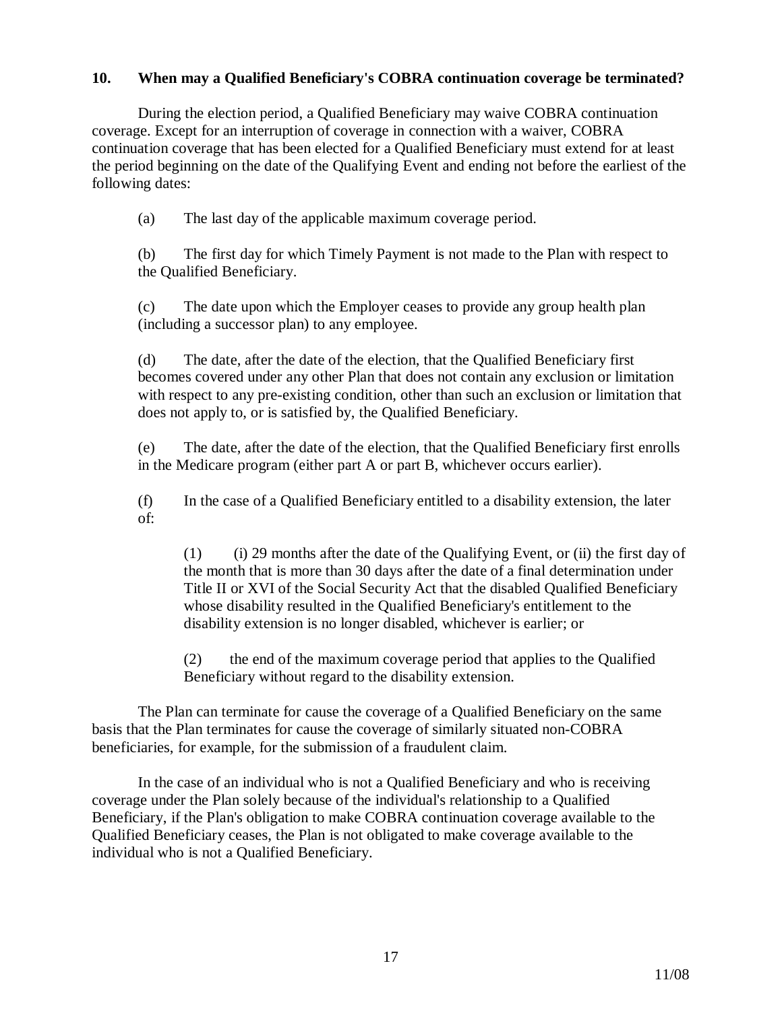### **10. When may a Qualified Beneficiary's COBRA continuation coverage be terminated?**

During the election period, a Qualified Beneficiary may waive COBRA continuation coverage. Except for an interruption of coverage in connection with a waiver, COBRA continuation coverage that has been elected for a Qualified Beneficiary must extend for at least the period beginning on the date of the Qualifying Event and ending not before the earliest of the following dates:

(a) The last day of the applicable maximum coverage period.

(b) The first day for which Timely Payment is not made to the Plan with respect to the Qualified Beneficiary.

(c) The date upon which the Employer ceases to provide any group health plan (including a successor plan) to any employee.

(d) The date, after the date of the election, that the Qualified Beneficiary first becomes covered under any other Plan that does not contain any exclusion or limitation with respect to any pre-existing condition, other than such an exclusion or limitation that does not apply to, or is satisfied by, the Qualified Beneficiary.

(e) The date, after the date of the election, that the Qualified Beneficiary first enrolls in the Medicare program (either part A or part B, whichever occurs earlier).

(f) In the case of a Qualified Beneficiary entitled to a disability extension, the later of:

(1) (i) 29 months after the date of the Qualifying Event, or (ii) the first day of the month that is more than 30 days after the date of a final determination under Title II or XVI of the Social Security Act that the disabled Qualified Beneficiary whose disability resulted in the Qualified Beneficiary's entitlement to the disability extension is no longer disabled, whichever is earlier; or

(2) the end of the maximum coverage period that applies to the Qualified Beneficiary without regard to the disability extension.

The Plan can terminate for cause the coverage of a Qualified Beneficiary on the same basis that the Plan terminates for cause the coverage of similarly situated non-COBRA beneficiaries, for example, for the submission of a fraudulent claim.

In the case of an individual who is not a Qualified Beneficiary and who is receiving coverage under the Plan solely because of the individual's relationship to a Qualified Beneficiary, if the Plan's obligation to make COBRA continuation coverage available to the Qualified Beneficiary ceases, the Plan is not obligated to make coverage available to the individual who is not a Qualified Beneficiary.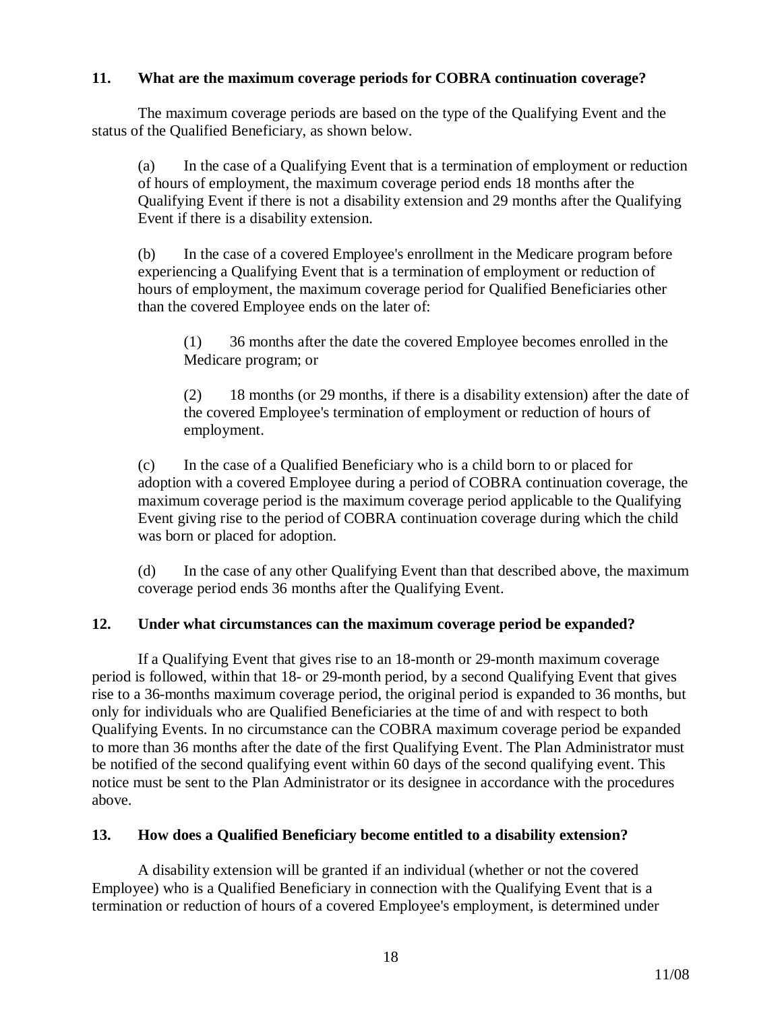## **11. What are the maximum coverage periods for COBRA continuation coverage?**

The maximum coverage periods are based on the type of the Qualifying Event and the status of the Qualified Beneficiary, as shown below.

(a) In the case of a Qualifying Event that is a termination of employment or reduction of hours of employment, the maximum coverage period ends 18 months after the Qualifying Event if there is not a disability extension and 29 months after the Qualifying Event if there is a disability extension.

(b) In the case of a covered Employee's enrollment in the Medicare program before experiencing a Qualifying Event that is a termination of employment or reduction of hours of employment, the maximum coverage period for Qualified Beneficiaries other than the covered Employee ends on the later of:

(1) 36 months after the date the covered Employee becomes enrolled in the Medicare program; or

(2) 18 months (or 29 months, if there is a disability extension) after the date of the covered Employee's termination of employment or reduction of hours of employment.

(c) In the case of a Qualified Beneficiary who is a child born to or placed for adoption with a covered Employee during a period of COBRA continuation coverage, the maximum coverage period is the maximum coverage period applicable to the Qualifying Event giving rise to the period of COBRA continuation coverage during which the child was born or placed for adoption.

(d) In the case of any other Qualifying Event than that described above, the maximum coverage period ends 36 months after the Qualifying Event.

### **12. Under what circumstances can the maximum coverage period be expanded?**

If a Qualifying Event that gives rise to an 18-month or 29-month maximum coverage period is followed, within that 18- or 29-month period, by a second Qualifying Event that gives rise to a 36-months maximum coverage period, the original period is expanded to 36 months, but only for individuals who are Qualified Beneficiaries at the time of and with respect to both Qualifying Events. In no circumstance can the COBRA maximum coverage period be expanded to more than 36 months after the date of the first Qualifying Event. The Plan Administrator must be notified of the second qualifying event within 60 days of the second qualifying event. This notice must be sent to the Plan Administrator or its designee in accordance with the procedures above.

### **13. How does a Qualified Beneficiary become entitled to a disability extension?**

A disability extension will be granted if an individual (whether or not the covered Employee) who is a Qualified Beneficiary in connection with the Qualifying Event that is a termination or reduction of hours of a covered Employee's employment, is determined under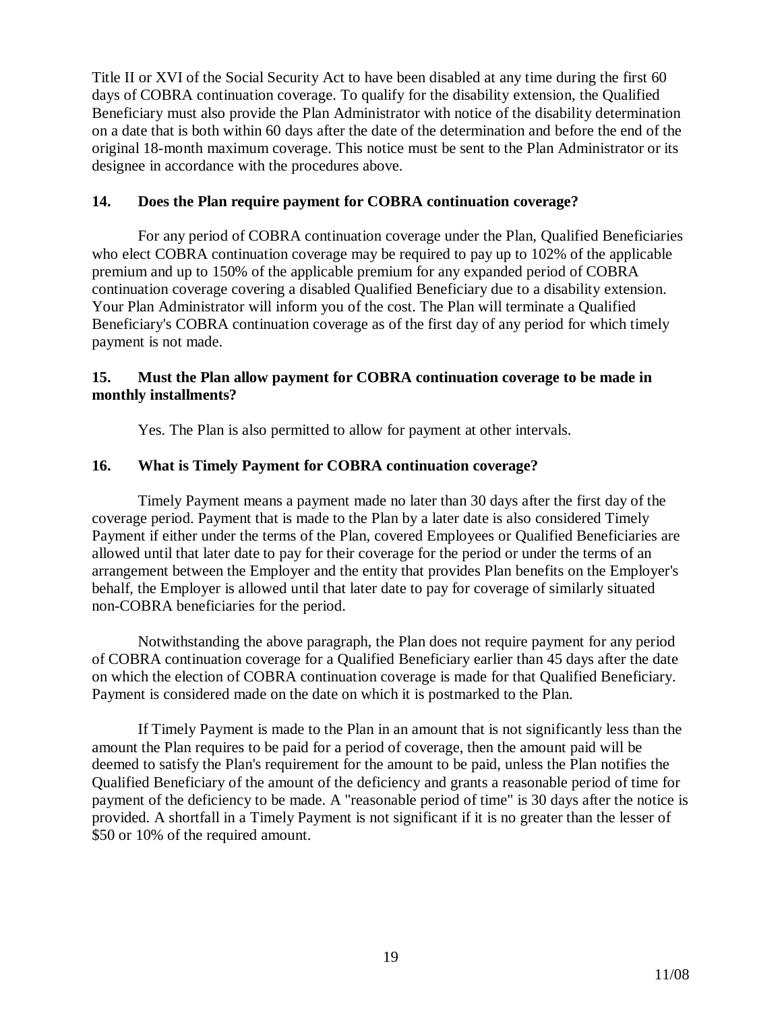Title II or XVI of the Social Security Act to have been disabled at any time during the first 60 days of COBRA continuation coverage. To qualify for the disability extension, the Qualified Beneficiary must also provide the Plan Administrator with notice of the disability determination on a date that is both within 60 days after the date of the determination and before the end of the original 18-month maximum coverage. This notice must be sent to the Plan Administrator or its designee in accordance with the procedures above.

### **14. Does the Plan require payment for COBRA continuation coverage?**

For any period of COBRA continuation coverage under the Plan, Qualified Beneficiaries who elect COBRA continuation coverage may be required to pay up to 102% of the applicable premium and up to 150% of the applicable premium for any expanded period of COBRA continuation coverage covering a disabled Qualified Beneficiary due to a disability extension. Your Plan Administrator will inform you of the cost. The Plan will terminate a Qualified Beneficiary's COBRA continuation coverage as of the first day of any period for which timely payment is not made.

### **15. Must the Plan allow payment for COBRA continuation coverage to be made in monthly installments?**

Yes. The Plan is also permitted to allow for payment at other intervals.

# **16. What is Timely Payment for COBRA continuation coverage?**

Timely Payment means a payment made no later than 30 days after the first day of the coverage period. Payment that is made to the Plan by a later date is also considered Timely Payment if either under the terms of the Plan, covered Employees or Qualified Beneficiaries are allowed until that later date to pay for their coverage for the period or under the terms of an arrangement between the Employer and the entity that provides Plan benefits on the Employer's behalf, the Employer is allowed until that later date to pay for coverage of similarly situated non-COBRA beneficiaries for the period.

Notwithstanding the above paragraph, the Plan does not require payment for any period of COBRA continuation coverage for a Qualified Beneficiary earlier than 45 days after the date on which the election of COBRA continuation coverage is made for that Qualified Beneficiary. Payment is considered made on the date on which it is postmarked to the Plan.

If Timely Payment is made to the Plan in an amount that is not significantly less than the amount the Plan requires to be paid for a period of coverage, then the amount paid will be deemed to satisfy the Plan's requirement for the amount to be paid, unless the Plan notifies the Qualified Beneficiary of the amount of the deficiency and grants a reasonable period of time for payment of the deficiency to be made. A "reasonable period of time" is 30 days after the notice is provided. A shortfall in a Timely Payment is not significant if it is no greater than the lesser of \$50 or 10% of the required amount.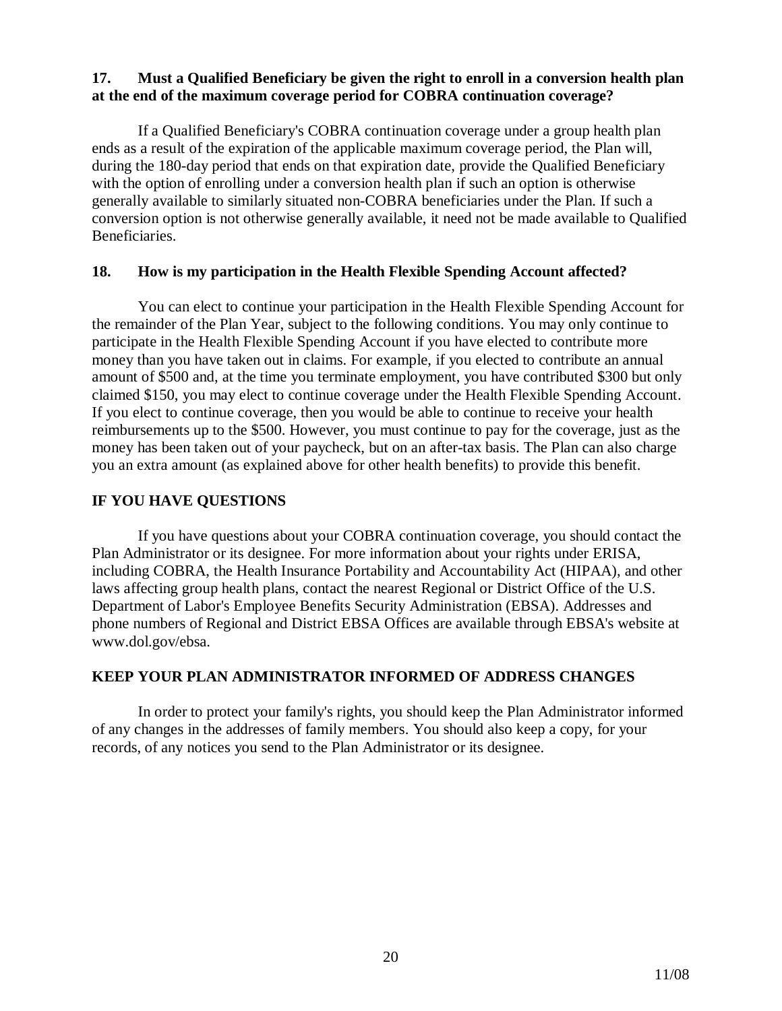### **17. Must a Qualified Beneficiary be given the right to enroll in a conversion health plan at the end of the maximum coverage period for COBRA continuation coverage?**

If a Qualified Beneficiary's COBRA continuation coverage under a group health plan ends as a result of the expiration of the applicable maximum coverage period, the Plan will, during the 180-day period that ends on that expiration date, provide the Qualified Beneficiary with the option of enrolling under a conversion health plan if such an option is otherwise generally available to similarly situated non-COBRA beneficiaries under the Plan. If such a conversion option is not otherwise generally available, it need not be made available to Qualified Beneficiaries.

### **18. How is my participation in the Health Flexible Spending Account affected?**

You can elect to continue your participation in the Health Flexible Spending Account for the remainder of the Plan Year, subject to the following conditions. You may only continue to participate in the Health Flexible Spending Account if you have elected to contribute more money than you have taken out in claims. For example, if you elected to contribute an annual amount of \$500 and, at the time you terminate employment, you have contributed \$300 but only claimed \$150, you may elect to continue coverage under the Health Flexible Spending Account. If you elect to continue coverage, then you would be able to continue to receive your health reimbursements up to the \$500. However, you must continue to pay for the coverage, just as the money has been taken out of your paycheck, but on an after-tax basis. The Plan can also charge you an extra amount (as explained above for other health benefits) to provide this benefit.

### **IF YOU HAVE QUESTIONS**

If you have questions about your COBRA continuation coverage, you should contact the Plan Administrator or its designee. For more information about your rights under ERISA, including COBRA, the Health Insurance Portability and Accountability Act (HIPAA), and other laws affecting group health plans, contact the nearest Regional or District Office of the U.S. Department of Labor's Employee Benefits Security Administration (EBSA). Addresses and phone numbers of Regional and District EBSA Offices are available through EBSA's website at www.dol.gov/ebsa.

### **KEEP YOUR PLAN ADMINISTRATOR INFORMED OF ADDRESS CHANGES**

In order to protect your family's rights, you should keep the Plan Administrator informed of any changes in the addresses of family members. You should also keep a copy, for your records, of any notices you send to the Plan Administrator or its designee.